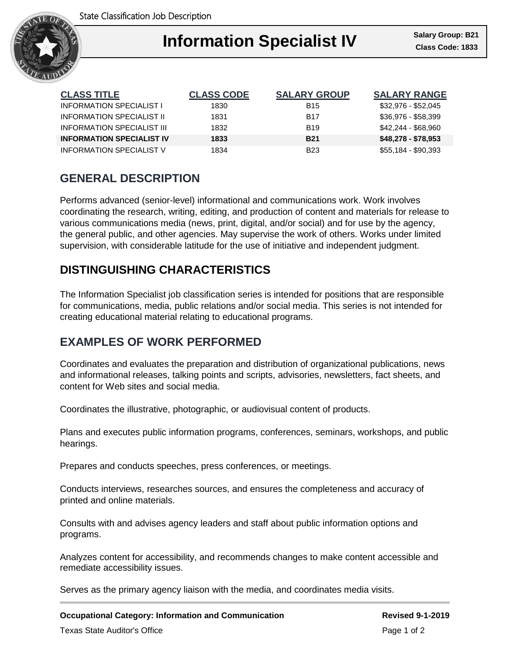

### Ι **Information Specialist IV Class Code: 1833**

| <b>CLASS TITLE</b>                | <b>CLASS CODE</b> | <b>SALARY GROUP</b> | <b>SALARY RANGE</b> |
|-----------------------------------|-------------------|---------------------|---------------------|
| INFORMATION SPECIALIST I          | 1830              | <b>B</b> 15         | \$32,976 - \$52,045 |
| <b>INFORMATION SPECIALIST II</b>  | 1831              | <b>B17</b>          | \$36,976 - \$58,399 |
| <b>INFORMATION SPECIALIST III</b> | 1832              | <b>B19</b>          | \$42,244 - \$68,960 |
| <b>INFORMATION SPECIALIST IV</b>  | 1833              | <b>B21</b>          | \$48,278 - \$78,953 |
| INFORMATION SPECIALIST V          | 1834              | <b>B23</b>          | $$55,184 - $90,393$ |

# **GENERAL DESCRIPTION**

Performs advanced (senior-level) informational and communications work. Work involves coordinating the research, writing, editing, and production of content and materials for release to various communications media (news, print, digital, and/or social) and for use by the agency, the general public, and other agencies. May supervise the work of others. Works under limited supervision, with considerable latitude for the use of initiative and independent judgment.

# **DISTINGUISHING CHARACTERISTICS**

The Information Specialist job classification series is intended for positions that are responsible for communications, media, public relations and/or social media. This series is not intended for creating educational material relating to educational programs.

### **EXAMPLES OF WORK PERFORMED**

Coordinates and evaluates the preparation and distribution of organizational publications, news and informational releases, talking points and scripts, advisories, newsletters, fact sheets, and content for Web sites and social media.

Coordinates the illustrative, photographic, or audiovisual content of products.

Plans and executes public information programs, conferences, seminars, workshops, and public hearings.

Prepares and conducts speeches, press conferences, or meetings.

Conducts interviews, researches sources, and ensures the completeness and accuracy of printed and online materials.

Consults with and advises agency leaders and staff about public information options and programs.

Analyzes content for accessibility, and recommends changes to make content accessible and remediate accessibility issues.

Serves as the primary agency liaison with the media, and coordinates media visits.

**Occupational Category: Information and Communication Revised 9-1-2019** Texas State Auditor's Office **Page 1 of 2** and 2